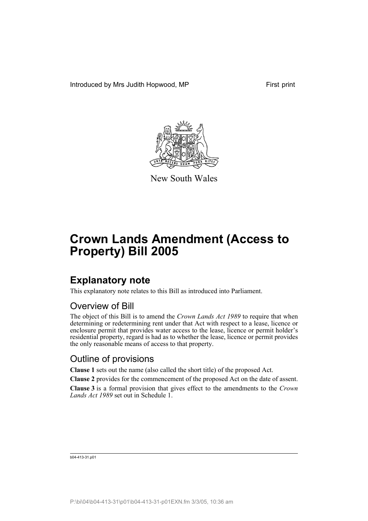Introduced by Mrs Judith Hopwood, MP First print



New South Wales

# **Crown Lands Amendment (Access to Property) Bill 2005**

## **Explanatory note**

This explanatory note relates to this Bill as introduced into Parliament.

### Overview of Bill

The object of this Bill is to amend the *Crown Lands Act 1989* to require that when determining or redetermining rent under that Act with respect to a lease, licence or enclosure permit that provides water access to the lease, licence or permit holder's residential property, regard is had as to whether the lease, licence or permit provides the only reasonable means of access to that property.

### Outline of provisions

**Clause 1** sets out the name (also called the short title) of the proposed Act.

**Clause 2** provides for the commencement of the proposed Act on the date of assent.

**Clause 3** is a formal provision that gives effect to the amendments to the *Crown Lands Act 1989* set out in Schedule 1.

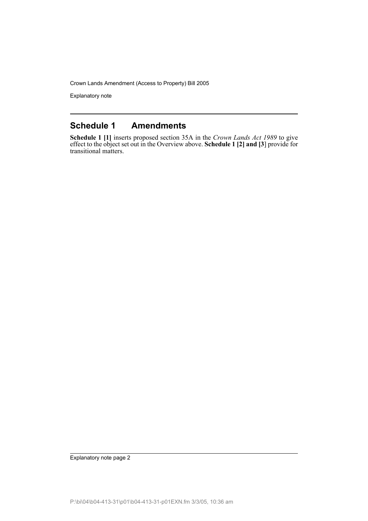Explanatory note

### **Schedule 1 Amendments**

**Schedule 1 [1]** inserts proposed section 35A in the *Crown Lands Act 1989* to give effect to the object set out in the Overview above. **Schedule 1 [2] and [3**] provide for transitional matters.

Explanatory note page 2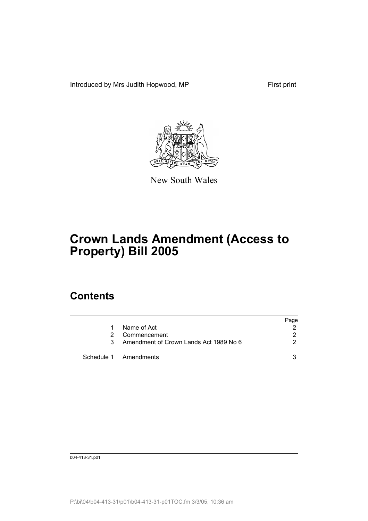Introduced by Mrs Judith Hopwood, MP First print



New South Wales

# **Crown Lands Amendment (Access to Property) Bill 2005**

## **Contents**

|   |                                        | Paqe |
|---|----------------------------------------|------|
| 1 | Name of Act                            |      |
| 2 | Commencement                           | 2    |
| 3 | Amendment of Crown Lands Act 1989 No 6 | 2    |
|   | Schedule 1 Amendments                  |      |

b04-413-31.p01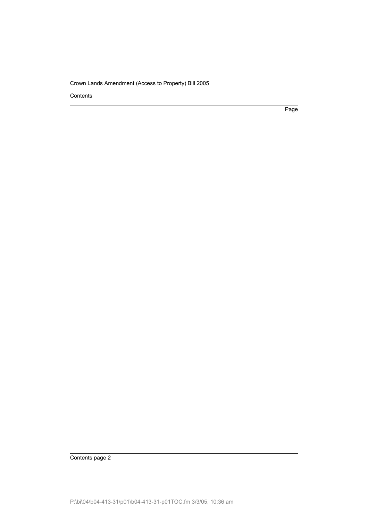**Contents** 

Page

Contents page 2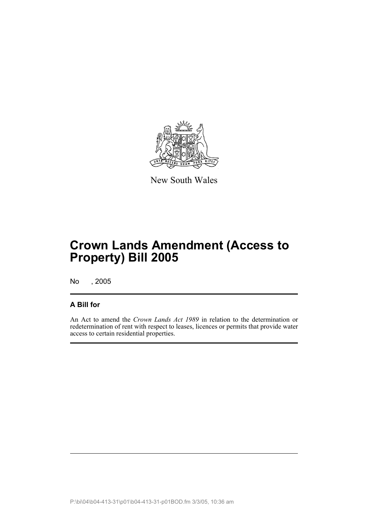

New South Wales

# **Crown Lands Amendment (Access to Property) Bill 2005**

No , 2005

#### **A Bill for**

An Act to amend the *Crown Lands Act 1989* in relation to the determination or redetermination of rent with respect to leases, licences or permits that provide water access to certain residential properties.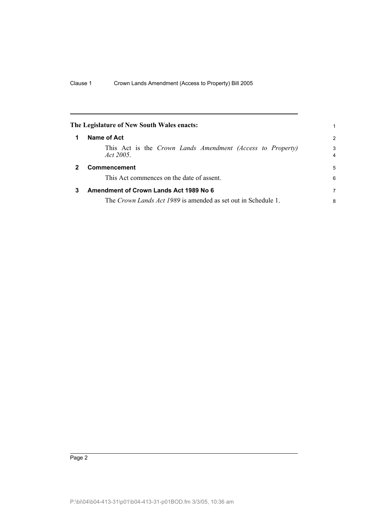<span id="page-5-2"></span><span id="page-5-1"></span><span id="page-5-0"></span>

|              | The Legislature of New South Wales enacts:                              |                |
|--------------|-------------------------------------------------------------------------|----------------|
| 1            | Name of Act                                                             | $\overline{2}$ |
|              | This Act is the Crown Lands Amendment (Access to Property)<br>Act 2005. | 3<br>4         |
| $\mathbf{2}$ | Commencement                                                            | 5              |
|              | This Act commences on the date of assent.                               | 6              |
| 3            | <b>Amendment of Crown Lands Act 1989 No 6</b>                           | 7              |
|              | The Crown Lands Act 1989 is amended as set out in Schedule 1.           | 8              |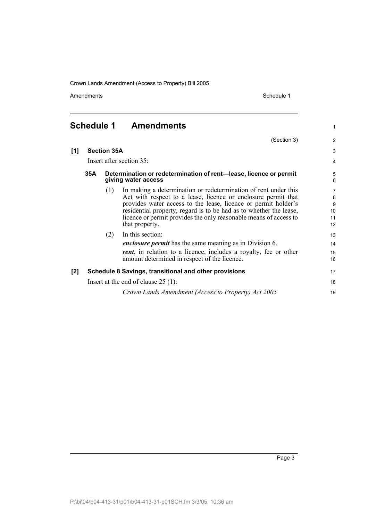Amendments Schedule 1

1

## <span id="page-6-0"></span>**Schedule 1 Amendments**

|       |                                       |                                                                                          | (Section 3)                                                                                                                                                                                                                                                                                                                                                     | 2                                          |
|-------|---------------------------------------|------------------------------------------------------------------------------------------|-----------------------------------------------------------------------------------------------------------------------------------------------------------------------------------------------------------------------------------------------------------------------------------------------------------------------------------------------------------------|--------------------------------------------|
| [1]   |                                       | <b>Section 35A</b>                                                                       |                                                                                                                                                                                                                                                                                                                                                                 | 3                                          |
|       |                                       |                                                                                          | Insert after section 35:                                                                                                                                                                                                                                                                                                                                        | 4                                          |
|       | 35A                                   | Determination or redetermination of rent-lease, licence or permit<br>giving water access |                                                                                                                                                                                                                                                                                                                                                                 | 5<br>6                                     |
|       |                                       | (1)                                                                                      | In making a determination or redetermination of rent under this<br>Act with respect to a lease, licence or enclosure permit that<br>provides water access to the lease, licence or permit holder's<br>residential property, regard is to be had as to whether the lease,<br>licence or permit provides the only reasonable means of access to<br>that property. | $\overline{7}$<br>8<br>9<br>10<br>11<br>12 |
|       |                                       | (2)                                                                                      | In this section:<br><i>enclosure permit</i> has the same meaning as in Division 6.<br><i>rent</i> , in relation to a licence, includes a royalty, fee or other<br>amount determined in respect of the licence.                                                                                                                                                  | 13<br>14<br>15<br>16                       |
| $[2]$ |                                       |                                                                                          | Schedule 8 Savings, transitional and other provisions                                                                                                                                                                                                                                                                                                           | 17                                         |
|       | Insert at the end of clause $25(1)$ : |                                                                                          | 18                                                                                                                                                                                                                                                                                                                                                              |                                            |
|       |                                       |                                                                                          | Crown Lands Amendment (Access to Property) Act 2005                                                                                                                                                                                                                                                                                                             | 19                                         |